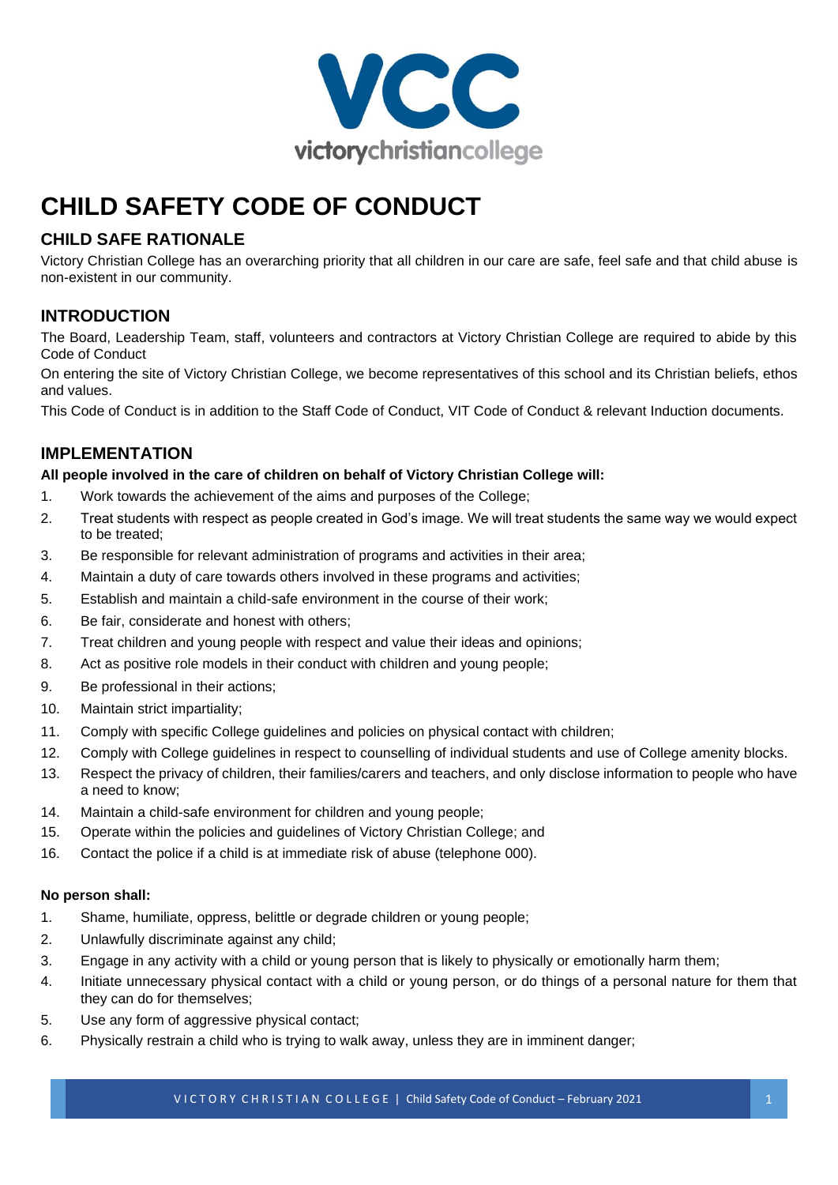

# **CHILD SAFETY CODE OF CONDUCT**

# **CHILD SAFE RATIONALE**

Victory Christian College has an overarching priority that all children in our care are safe, feel safe and that child abuse is non-existent in our community.

# **INTRODUCTION**

The Board, Leadership Team, staff, volunteers and contractors at Victory Christian College are required to abide by this Code of Conduct

On entering the site of Victory Christian College, we become representatives of this school and its Christian beliefs, ethos and values.

This Code of Conduct is in addition to the Staff Code of Conduct, VIT Code of Conduct & relevant Induction documents.

# **IMPLEMENTATION**

#### **All people involved in the care of children on behalf of Victory Christian College will:**

- 1. Work towards the achievement of the aims and purposes of the College;
- 2. Treat students with respect as people created in God's image. We will treat students the same way we would expect to be treated;
- 3. Be responsible for relevant administration of programs and activities in their area;
- 4. Maintain a duty of care towards others involved in these programs and activities;
- 5. Establish and maintain a child-safe environment in the course of their work;
- 6. Be fair, considerate and honest with others;
- 7. Treat children and young people with respect and value their ideas and opinions;
- 8. Act as positive role models in their conduct with children and young people;
- 9. Be professional in their actions;
- 10. Maintain strict impartiality;
- 11. Comply with specific College guidelines and policies on physical contact with children;
- 12. Comply with College guidelines in respect to counselling of individual students and use of College amenity blocks.
- 13. Respect the privacy of children, their families/carers and teachers, and only disclose information to people who have a need to know;
- 14. Maintain a child-safe environment for children and young people;
- 15. Operate within the policies and guidelines of Victory Christian College; and
- 16. Contact the police if a child is at immediate risk of abuse (telephone 000).

#### **No person shall:**

- 1. Shame, humiliate, oppress, belittle or degrade children or young people;
- 2. Unlawfully discriminate against any child;
- 3. Engage in any activity with a child or young person that is likely to physically or emotionally harm them;
- 4. Initiate unnecessary physical contact with a child or young person, or do things of a personal nature for them that they can do for themselves;
- 5. Use any form of aggressive physical contact;
- 6. Physically restrain a child who is trying to walk away, unless they are in imminent danger;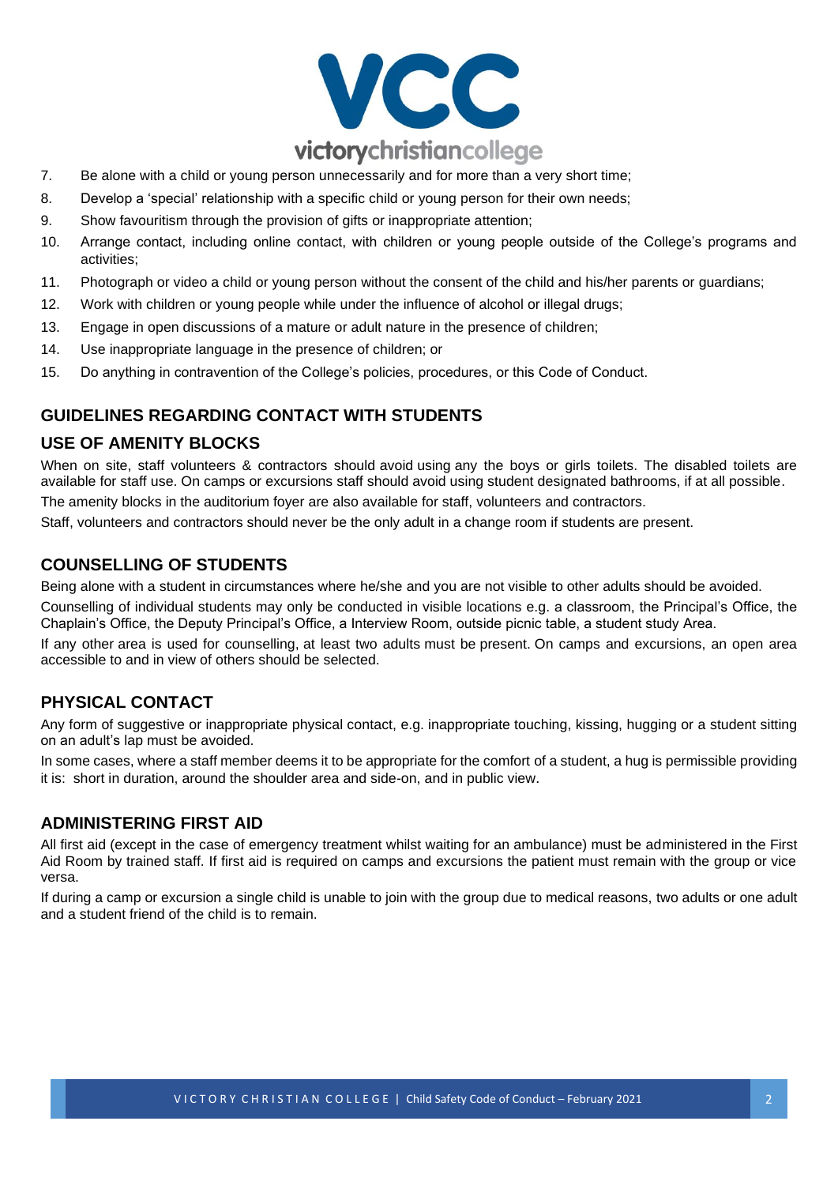

- 7. Be alone with a child or young person unnecessarily and for more than a very short time;
- 8. Develop a 'special' relationship with a specific child or young person for their own needs;
- 9. Show favouritism through the provision of gifts or inappropriate attention;
- 10. Arrange contact, including online contact, with children or young people outside of the College's programs and activities;
- 11. Photograph or video a child or young person without the consent of the child and his/her parents or guardians;
- 12. Work with children or young people while under the influence of alcohol or illegal drugs;
- 13. Engage in open discussions of a mature or adult nature in the presence of children;
- 14. Use inappropriate language in the presence of children; or
- 15. Do anything in contravention of the College's policies, procedures, or this Code of Conduct.

### **GUIDELINES REGARDING CONTACT WITH STUDENTS**

#### **USE OF AMENITY BLOCKS**

When on site, staff volunteers & contractors should avoid using any the boys or girls toilets. The disabled toilets are available for staff use. On camps or excursions staff should avoid using student designated bathrooms, if at all possible. The amenity blocks in the auditorium foyer are also available for staff, volunteers and contractors.

Staff, volunteers and contractors should never be the only adult in a change room if students are present.

#### **COUNSELLING OF STUDENTS**

Being alone with a student in circumstances where he/she and you are not visible to other adults should be avoided.

Counselling of individual students may only be conducted in visible locations e.g. a classroom, the Principal's Office, the Chaplain's Office, the Deputy Principal's Office, a Interview Room, outside picnic table, a student study Area.

If any other area is used for counselling, at least two adults must be present. On camps and excursions, an open area accessible to and in view of others should be selected.

# **PHYSICAL CONTACT**

Any form of suggestive or inappropriate physical contact, e.g. inappropriate touching, kissing, hugging or a student sitting on an adult's lap must be avoided.

In some cases, where a staff member deems it to be appropriate for the comfort of a student, a hug is permissible providing it is: short in duration, around the shoulder area and side-on, and in public view.

#### **ADMINISTERING FIRST AID**

All first aid (except in the case of emergency treatment whilst waiting for an ambulance) must be administered in the First Aid Room by trained staff. If first aid is required on camps and excursions the patient must remain with the group or vice versa.

If during a camp or excursion a single child is unable to join with the group due to medical reasons, two adults or one adult and a student friend of the child is to remain.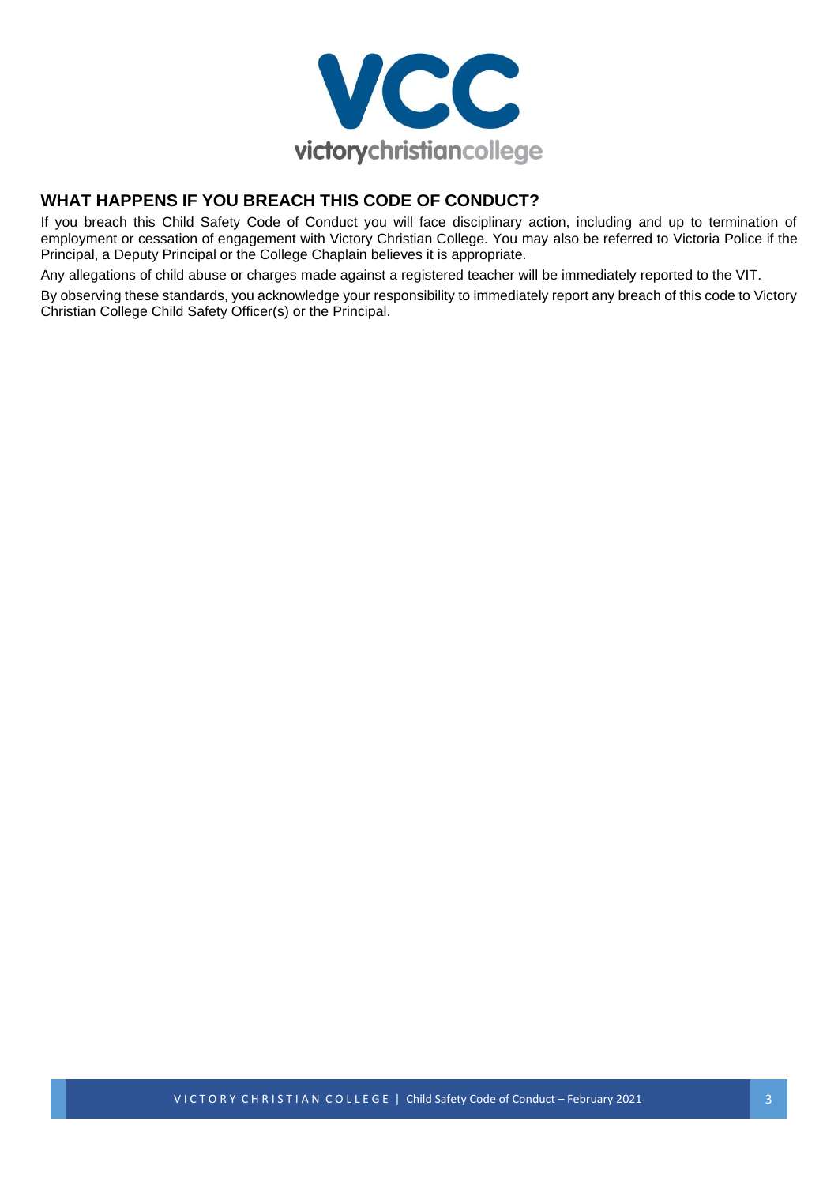

# **WHAT HAPPENS IF YOU BREACH THIS CODE OF CONDUCT?**

If you breach this Child Safety Code of Conduct you will face disciplinary action, including and up to termination of employment or cessation of engagement with Victory Christian College. You may also be referred to Victoria Police if the Principal, a Deputy Principal or the College Chaplain believes it is appropriate.

Any allegations of child abuse or charges made against a registered teacher will be immediately reported to the VIT.

By observing these standards, you acknowledge your responsibility to immediately report any breach of this code to Victory Christian College Child Safety Officer(s) or the Principal.